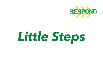

# Little Steps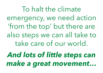To halt the climate emergency, we need action 'from the top' but there are also steps we can all take to take care of our world.

And lots of little steps can make a great movement…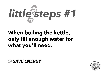

# When boiling the kettle, only fill enough water for what you'll need.



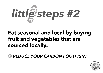

# Eat seasonal and local by buying fruit and vegetables that are sourced locally.

**EXAMPLE YOUR CARBON FOOTPRINT** 

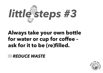

# Always take your own bottle for water or cup for coffee – ask for it to be (re)filled.

#### *XX REDUCE WASTE*

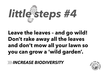

# Don't rake away all the leaves and don't mow all your lawn so you can grow a 'wild garden'.

*IN INCREASE BIODIVERSITY* 

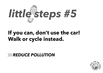

# If you can, don't use the car! Walk or cycle instead.

#### *WEDUCE POLLUTION*

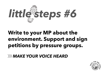

### **WAKE YOUR VOICE HEARD**

# Write to your MP about the environment. Support and sign petitions by pressure groups.

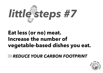

# Eat less (or no) meat. Increase the number of vegetable-based dishes you eat.

**EXAMPLE YOUR CARBON FOOTPRINT** 

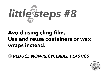

# Avoid using cling film. Use and reuse containers or wax wraps instead.

**WEDUCE NON-RECYCLABLE PLASTICS** 

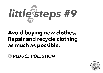

# Avoid buying new clothes. Repair and recycle clothing as much as possible.

*EXPREDUCE POLLUTION*